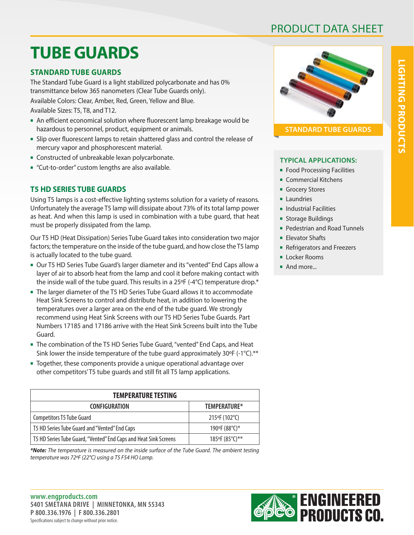## PRODUCT DATA SHEET

# **TUBE GUARDS**

## **STANDARD TUBE GUARDS**

The Standard Tube Guard is a light stabilized polycarbonate and has 0% transmittance below 365 nanometers (Clear Tube Guards only).

Available Colors: Clear, Amber, Red, Green, Yellow and Blue.

Available Sizes: T5, T8, and T12.

- n An efficient economical solution where fluorescent lamp breakage would be hazardous to personnel, product, equipment or animals.
- <sup>n</sup> Slip over fluorescent lamps to retain shattered glass and control the release of mercury vapor and phosphorescent material.
- **EX Constructed of unbreakable lexan polycarbonate.**
- "Cut-to-order" custom lengths are also available.

## **T5 HD SERIES TUBE GUARDS**

Using T5 lamps is a cost-effective lighting systems solution for a variety of reasons. Unfortunately the average T5 lamp will dissipate about 73% of its total lamp power as heat. And when this lamp is used in combination with a tube guard, that heat must be properly dissipated from the lamp.

Our T5 HD (Heat Dissipation) Series Tube Guard takes into consideration two major factors; the temperature on the inside of the tube guard, and how close the T5 lamp is actually located to the tube guard.

- <sup>n</sup> Our T5 HD Series Tube Guard's larger diameter and its "vented" End Caps allow a layer of air to absorb heat from the lamp and cool it before making contact with the inside wall of the tube guard. This results in a 25°F (-4°C) temperature drop.\*
- The larger diameter of the T5 HD Series Tube Guard allows it to accommodate Heat Sink Screens to control and distribute heat, in addition to lowering the temperatures over a larger area on the end of the tube guard. We strongly recommend using Heat Sink Screens with our T5 HD Series Tube Guards. Part Numbers 17185 and 17186 arrive with the Heat Sink Screens built into the Tube Guard.
- **The combination of the T5 HD Series Tube Guard, "vented" End Caps, and Heat** Sink lower the inside temperature of the tube guard approximately 30°F (-1°C).\*\*
- Together, these components provide a unique operational advantage over other competitors' T5 tube guards and still fit all T5 lamp applications.

| <b>TEMPERATURE TESTING</b>                                       |                |  |  |  |  |  |  |  |
|------------------------------------------------------------------|----------------|--|--|--|--|--|--|--|
| <b>CONFIGURATION</b>                                             | TEMPERATURE*   |  |  |  |  |  |  |  |
| <b>Competitors T5 Tube Guard</b>                                 | 215°F (102°C)  |  |  |  |  |  |  |  |
| T5 HD Series Tube Guard and "Vented" End Caps                    | 190°F (88°C)*  |  |  |  |  |  |  |  |
| T5 HD Series Tube Guard, "Vented" End Caps and Heat Sink Screens | 185°F (85°C)** |  |  |  |  |  |  |  |

*\*Note: The temperature is measured on the inside surface of the Tube Guard. The ambient testing temperature was 72ºF (22°C) using a T5 F54 HO Lamp.*



**STANDARD TUBE GUARDS**

### **TYPICAL APPLICATIONS:**

- **Food Processing Facilities**
- **Commercial Kitchens**
- **Grocery Stores**
- **Laundries**
- **n** Industrial Facilities
- **s** Storage Buildings
- Pedestrian and Road Tunnels
- **Flevator Shafts**
- **Refrigerators and Freezers**
- **ELOCKET ROOMS**
- **And more...**

Specifications subject to change without prior notice. **www.engproducts.com 5401 SMETANA DRIVE | MINNETONKA, MN 55343 P 800.336.1976 | F 800.336.2801**

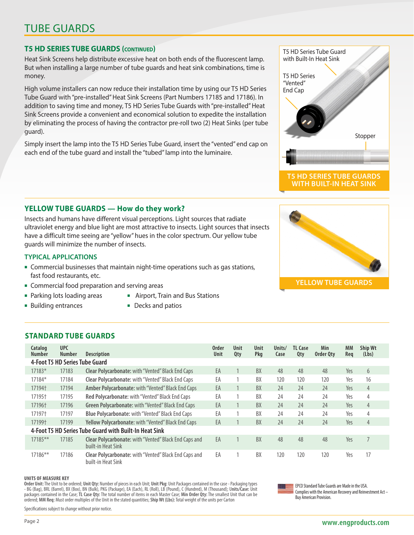## TUBE GUARDS

### **T5 HD SERIES TUBE GUARDS (continued)**

Heat Sink Screens help distribute excessive heat on both ends of the fluorescent lamp. But when installing a large number of tube guards and heat sink combinations, time is money.

High volume installers can now reduce their installation time by using our T5 HD Series Tube Guard with "pre-installed" Heat Sink Screens (Part Numbers 17185 and 17186). In addition to saving time and money, T5 HD Series Tube Guards with "pre-installed" Heat Sink Screens provide a convenient and economical solution to expedite the installation by eliminating the process of having the contractor pre-roll two (2) Heat Sinks (per tube guard).

Simply insert the lamp into the T5 HD Series Tube Guard, insert the "vented" end cap on each end of the tube guard and install the "tubed" lamp into the luminaire.

### **YELLOW TUBE GUARDS — How do they work?**

Insects and humans have different visual perceptions. Light sources that radiate ultraviolet energy and blue light are most attractive to insects. Light sources that insects have a difficult time seeing are "yellow" hues in the color spectrum. Our yellow tube guards will minimize the number of insects.

#### **TYPICAL APPLICATIONS**

- **Commercial businesses that maintain night-time operations such as gas stations,** fast food restaurants, etc.
- **EX Commercial food preparation and serving areas**
- 
- Parking lots loading areas Airport, Train and Bus Stations
- Building entrances Decks and patios

## **STANDARD TUBE GUARDS**

| Catalog<br>Number | <b>UPC</b><br>Number           | <b>Description</b>                                                                 | <b>Order</b><br><b>Unit</b> | Unit<br>Qty | Unit<br>Pkg | Units/<br>Case | <b>TL Case</b><br>Qty | Min<br>Order Qty | <b>MM</b><br>Reg | Ship Wt<br>(Lbs) |
|-------------------|--------------------------------|------------------------------------------------------------------------------------|-----------------------------|-------------|-------------|----------------|-----------------------|------------------|------------------|------------------|
|                   | 4-Foot T5 HD Series Tube Guard |                                                                                    |                             |             |             |                |                       |                  |                  |                  |
| 17183*            | 17183                          | <b>Clear Polycarbonate:</b> with "Vented" Black End Caps                           | EA                          |             | BX          | 48             | 48                    | 48               | Yes              | 6                |
| 17184*            | 17184                          | <b>Clear Polycarbonate:</b> with "Vented" Black End Caps                           | EA                          |             | BX          | 120            | 120                   | 120              | Yes              | 16               |
| 17194†            | 17194                          | Amber Polycarbonate: with "Vented" Black End Caps                                  | EA                          |             | <b>BX</b>   | 24             | 24                    | 24               | Yes              | $\overline{4}$   |
| 17195†            | 17195                          | Red Polycarbonate: with "Vented" Black End Caps                                    | EA                          |             | BX          | 24             | 24                    | 24               | Yes              | 4                |
| 17196†            | 17196                          | Green Polycarbonate: with "Vented" Black End Caps                                  | EA                          |             | BX          | 24             | 24                    | 24               | Yes              | $\overline{4}$   |
| 17197†            | 17197                          | Blue Polycarbonate: with "Vented" Black End Caps                                   | EA                          |             | BX          | 24             | 24                    | 24               | Yes              | 4                |
| 17199†            | 17199                          | <b>Yellow Polycarbonate:</b> with "Vented" Black End Caps                          | EA                          |             | BX          | 24             | 24                    | 24               | Yes              | $\overline{4}$   |
|                   |                                | 4-Foot T5 HD Series Tube Guard with Built-In Heat Sink                             |                             |             |             |                |                       |                  |                  |                  |
| 17185**           | 17185                          | <b>Clear Polycarbonate:</b> with "Vented" Black End Caps and<br>built-in Heat Sink | EA                          |             | BX          | 48             | 48                    | 48               | Yes              | 7                |
| 17186**           | 17186                          | Clear Polycarbonate: with "Vented" Black End Caps and<br>built-in Heat Sink        | EA                          |             | BX          | 120            | 120                   | 120              | Yes              | 17               |

#### **UNITS OF MEASURE KEY**

**Order Unit:** The Unit to be ordered; **Unit Qty:** Number of pieces in each Unit; **Unit Pkg:** Unit Packages contained in the case - Packaging types - BG (Bag), BRL (Barrel), BX (Box), BN (Bulk), PKG (Package), EA (Each), RL (Roll), LB (Pound), C (Hundred), M (Thousand); U**nits/Case:** Unit packages contained in the Case; **TL Case Qty:** The total number of items in each Master Case; **Min Order Qty:** The smallest Unit that can be ordered; **MM Req:** Must order multiples of the Unit in the stated quantities; **Ship Wt (Lbs):** Total weight of the units per Carton

 $\equiv$  EPCO Standard Tube Guards are Made in the USA. Complies with the American Recovery and Reinvestment Act – Buy American Provision.

Specifications subject to change without prior notice.

Stopper "Vented" End Cap

T5 HD Series Tube Guard with Built-In Heat Sink

T5 HD Series

#### **T5 HD SERIES TUBE GUARDS WITH BUILT-IN HEAT SINK**

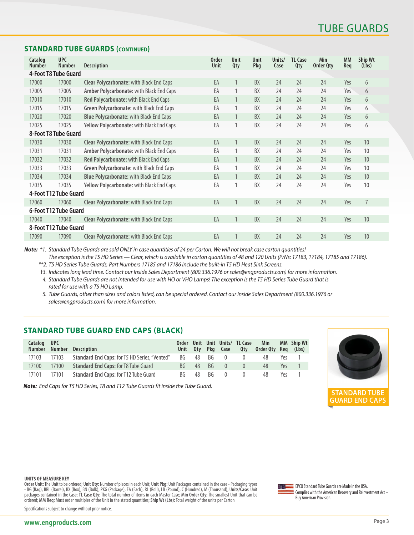#### **STANDARD TUBE GUARDS (continued)**

| Catalog<br><b>Number</b> | <b>UPC</b><br><b>Number</b> | <b>Description</b>                              | <b>Order</b><br>Unit | Unit<br>Qty  | Unit<br>Pkg | Units/<br>Case | <b>TL Case</b><br>Qty | Min<br>Order Qty | <b>MM</b><br>Req | Ship Wt<br>(Lbs) |
|--------------------------|-----------------------------|-------------------------------------------------|----------------------|--------------|-------------|----------------|-----------------------|------------------|------------------|------------------|
|                          | 4-Foot T8 Tube Guard        |                                                 |                      |              |             |                |                       |                  |                  |                  |
| 17000                    | 17000                       | <b>Clear Polycarbonate:</b> with Black End Caps | EA                   | 1            | <b>BX</b>   | 24             | 24                    | 24               | Yes              | 6                |
| 17005                    | 17005                       | Amber Polycarbonate: with Black End Caps        | EA                   | 1            | BX          | 24             | 24                    | 24               | Yes              | 6                |
| 17010                    | 17010                       | Red Polycarbonate: with Black End Caps          | EA                   | 1            | BX          | 24             | 24                    | 24               | Yes              | 6                |
| 17015                    | 17015                       | Green Polycarbonate: with Black End Caps        | EA                   | 1            | BX          | 24             | 24                    | 24               | Yes              | 6                |
| 17020                    | 17020                       | <b>Blue Polycarbonate: with Black End Caps</b>  | EA                   |              | BX          | 24             | 24                    | 24               | Yes              | 6                |
| 17025                    | 17025                       | Yellow Polycarbonate: with Black End Caps       | EA                   | 1            | BX          | 24             | 24                    | 24               | Yes              | 6                |
|                          | 8-Foot T8 Tube Guard        |                                                 |                      |              |             |                |                       |                  |                  |                  |
| 17030                    | 17030                       | <b>Clear Polycarbonate: with Black End Caps</b> | EA                   | 1            | <b>BX</b>   | 24             | 24                    | 24               | Yes              | 10               |
| 17031                    | 17031                       | Amber Polycarbonate: with Black End Caps        | EA                   |              | BX          | 24             | 24                    | 24               | Yes              | 10               |
| 17032                    | 17032                       | Red Polycarbonate: with Black End Caps          | EA                   | 1            | BX          | 24             | 24                    | 24               | Yes              | 10 <sup>°</sup>  |
| 17033                    | 17033                       | Green Polycarbonate: with Black End Caps        | EA                   | 1            | BX          | 24             | 24                    | 24               | Yes              | 10               |
| 17034                    | 17034                       | <b>Blue Polycarbonate: with Black End Caps</b>  | EA                   |              | BX          | 24             | 24                    | 24               | Yes              | 10 <sup>°</sup>  |
| 17035                    | 17035                       | Yellow Polycarbonate: with Black End Caps       | EA                   | 1            | BX          | 24             | 24                    | 24               | Yes              | 10               |
|                          | 4-Foot T12 Tube Guard       |                                                 |                      |              |             |                |                       |                  |                  |                  |
| 17060                    | 17060                       | <b>Clear Polycarbonate: with Black End Caps</b> | EA                   |              | BX          | 24             | 24                    | 24               | Yes              | 7                |
|                          | 6-Foot T12 Tube Guard       |                                                 |                      |              |             |                |                       |                  |                  |                  |
| 17040                    | 17040                       | <b>Clear Polycarbonate: with Black End Caps</b> | EA                   | $\mathbf{1}$ | BX          | 24             | 24                    | 24               | Yes              | 10               |
|                          | 8-Foot T12 Tube Guard       |                                                 |                      |              |             |                |                       |                  |                  |                  |
| 17090                    | 17090                       | <b>Clear Polycarbonate: with Black End Caps</b> | EA                   |              | BX          | 24             | 24                    | 24               | Yes              | 10               |

*Note: \*1. Standard Tube Guards are sold ONLY in case quantities of 24 per Carton. We will not break case carton quantities!* 

*The exception is the T5 HD Series — Clear, which is available in carton quantities of 48 and 120 Units (P/Ns: 17183, 17184, 17185 and 17186).*

*\*\*2. T5 HD Series Tube Guards, Part Numbers 17185 and 17186 include the built-in T5 HD Heat Sink Screens.* 

†*3. Indicates long lead time. Contact our Inside Sales Department (800.336.1976 or sales@engproducts.com) for more information.* 

 *4. Standard Tube Guards are not intended for use with HO or VHO Lamps! The exception is the T5 HD Series Tube Guard that is rated for use with a T5 HO Lamp.*

 *5. Tube Guards, other than sizes and colors listed, can be special ordered. Contact our Inside Sales Department (800.336.1976 or sales@engproducts.com) for more information.*

### **STANDARD TUBE GUARD END CAPS (BLACK)**

| Catalog UPC<br><b>Number</b> |       | Number Description                                   | Order |    |         | Unit Qty Pkg Case | Unit Unit Units/ TL Case<br>Qty | Min<br>Order Qty Reg (Lbs) |     | MM Ship Wt |
|------------------------------|-------|------------------------------------------------------|-------|----|---------|-------------------|---------------------------------|----------------------------|-----|------------|
| 17103                        | 17103 | <b>Standard End Caps:</b> for T5 HD Series, "Vented" | BG a  |    | 48 BG 0 |                   |                                 | 48                         | Yes |            |
| 17100                        | 17100 | <b>Standard End Caps: for T8 Tube Guard</b>          | BG -  |    | 48 BG   | $\overline{0}$    | $\Omega$                        | 48                         | Yes |            |
| 17101                        | 17101 | <b>Standard End Caps: for T12 Tube Guard</b>         | BG.   | 48 | - RG    | $\overline{0}$    |                                 | 48                         | Yρς |            |

*Note: End Caps for T5 HD Series, T8 and T12 Tube Guards fit inside the Tube Guard.*



**STANDARD TUBE GUARD END CAPS**

**UNITS OF MEASURE KEY**

**Order Unit:** The Unit to be ordered; **Unit Qty:** Number of pieces in each Unit; **Unit Pkg:** Unit Packages contained in the case - Packaging types - BG (Bag), BRL (Barrel), BX (Box), BN (Bulk), PKG (Package), EA (Each), RL (Roll), LB (Pound), C (Hundred), M (Thousand); U**nits/Case:** Unit<br>packages contained in the Case; **TL Case Qty:** The total number of items in each ordered; **MM Req:** Must order multiples of the Unit in the stated quantities; **Ship Wt (Lbs):** Total weight of the units per Carton



EPCO Standard Tube Guards are Made in the USA. Complies with the American Recovery and Reinvestment Act – Buy American Provision.

Specifications subject to change without prior notice.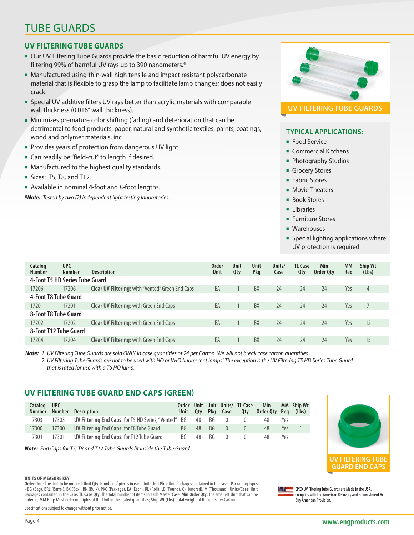## TUBE GUARDS

## **UV FILTERING TUBE GUARDS**

- **Dur UV Filtering Tube Guards provide the basic reduction of harmful UV energy by** filtering 99% of harmful UV rays up to 390 nanometers.\*
- Manufactured using thin-wall high tensile and impact resistant polycarbonate material that is flexible to grasp the lamp to facilitate lamp changes; does not easily crack.
- **Special UV additive filters UV rays better than acrylic materials with comparable** wall thickness (0.016" wall thickness).
- Minimizes premature color shifting (fading) and deterioration that can be detrimental to food products, paper, natural and synthetic textiles, paints, coatings, wood and polymer materials, inc.
- **Provides years of protection from dangerous UV light.**
- **Exam** Can readily be "field-cut" to length if desired.
- Manufactured to the highest quality standards.
- $\blacksquare$  Sizes: T5, T8, and T12.
- Available in nominal 4-foot and 8-foot lengths.

*\*Note: Tested by two (2) independent light testing laboratories.*



### **TYPICAL APPLICATIONS:**

- **Food Service**
- **Commercial Kitchens**
- Photography Studios
- **Grocery Stores**
- **Fabric Stores**
- **Novie Theaters**
- **Book Stores**
- **Libraries**
- **Furniture Stores**
- **Narehouses**
- **n** Special lighting applications where UV protection is required

| Catalog<br><b>Number</b> | <b>UPC</b><br><b>Number</b>    | <b>Description</b>                                      | <b>Order</b><br><b>Unit</b> | Unit<br>Qty | Unit<br>Pkg | Units/<br>Case | <b>TL Case</b><br>Qty | Min<br>Order Qty | <b>MM</b><br>Req | Ship Wt<br>(Lbs) |
|--------------------------|--------------------------------|---------------------------------------------------------|-----------------------------|-------------|-------------|----------------|-----------------------|------------------|------------------|------------------|
|                          | 4-Foot T5 HD Series Tube Guard |                                                         |                             |             |             |                |                       |                  |                  |                  |
| 17206                    | 17206                          | <b>Clear UV Filtering:</b> with "Vented" Green End Caps | EA                          |             | BX          | 24             | 24                    | 24               | Yes              | $\overline{4}$   |
|                          | 4-Foot T8 Tube Guard           |                                                         |                             |             |             |                |                       |                  |                  |                  |
| 17201                    | 17201                          | <b>Clear UV Filtering:</b> with Green End Caps          | EA                          |             | BX          | 24             | 24                    | 24               | Yes              |                  |
| 8-Foot T8 Tube Guard     |                                |                                                         |                             |             |             |                |                       |                  |                  |                  |
| 17202                    | 17202                          | <b>Clear UV Filtering:</b> with Green End Caps          | EA                          |             | BX          | 24             | 24                    | 24               | Yes              | 12               |
|                          | 8-Foot T12 Tube Guard          |                                                         |                             |             |             |                |                       |                  |                  |                  |
| 17204                    | 17204                          | <b>Clear UV Filtering: with Green End Caps</b>          | EA                          |             | BX          | 24             | 24                    | 24               | Yes              | 15               |

*Note: 1. UV Filtering Tube Guards are sold ONLY in case quantities of 24 per Carton. We will not break case carton quantities.*

 *2. UV Filtering Tube Guards are not to be used with HO or VHO fluorescent lamps! The exception is the UV Filtering T5 HD Series Tube Guard that is rated for use with a T5 HO lamp.*

## **UV FILTERING TUBE GUARD END CAPS (GREEN)**

| Catalog UPC<br><b>Number</b> |       | Number Description                                          | <b>Order</b> | Unit |      | Unit Qty Pkg Case | Unit Units/ TL Case<br>0tv | Min<br>Order Qty Reg |     | MM Ship Wt<br>(Lbs) |
|------------------------------|-------|-------------------------------------------------------------|--------------|------|------|-------------------|----------------------------|----------------------|-----|---------------------|
| 17303                        | 17303 | <b>UV Filtering End Caps:</b> for T5 HD Series, "Vented" BG |              | 48   | BG   | $\bigcirc$        |                            |                      | Υρς |                     |
| 17300                        | 17300 | <b>UV Filtering End Caps: for T8 Tube Guard</b>             | BG           | 48   | - BG |                   |                            | 48                   | Yes |                     |
| 17301                        | 17301 | <b>UV Filtering End Caps: for T12 Tube Guard</b>            | BG           | 48   | BG   |                   |                            | 48                   | Υρς |                     |

*Note: End Caps for T5, T8 and T12 Tube Guards fit inside the Tube Guard.*



#### **UNITS OF MEASURE KEY**

**Order Unit:** The Unit to be ordered; **Unit Qty:** Number of pieces in each Unit; **Unit Pkg:** Unit Packages contained in the case - Packaging types - BG (Bag), BRL (Barrel), BX (Box), BN (Bulk), PKG (Package), EA (Each), RL (Roll), LB (Pound), C (Hundred), M (Thousand); U**nits/Case:** Unit packages contained in the Case; **TL Case Qty:** The total number of items in each Master Case; **Min Order Qty:** The smallest Unit that can be ordered; **MM Req:** Must order multiples of the Unit in the stated quantities; **Ship Wt (Lbs):** Total weight of the units per Carton

Specifications subject to change without prior notice.

EPCO UV Filtering Tube Guards are Made in the USA. Complies with the American Recovery and Reinvestment Act –

Buy American Provision.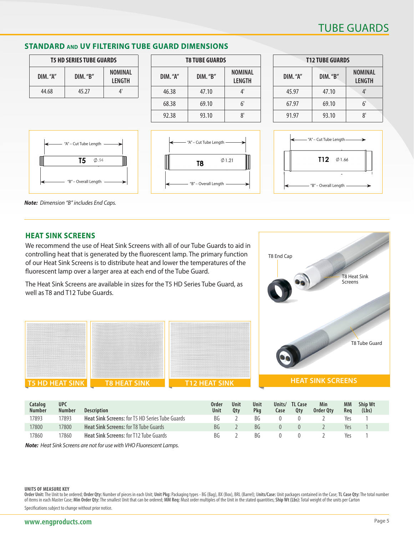## TUBE GUARDS

T8 Heat Sink Screens

### **STANDARD and UV FILTERING TUBE GUARD DIMENSIONS**

| <b>T5 HD SERIES TUBE GUARDS</b> |               |                   |  |  |  |  |  |  |
|---------------------------------|---------------|-------------------|--|--|--|--|--|--|
| $DIM.$ "A"                      | $DM.$ " $B$ " | NOMINAL<br>LENGTH |  |  |  |  |  |  |
| 44.68                           | 45.27         | Л'                |  |  |  |  |  |  |

"A" – Cut Tube Length

T<sub>5</sub>

- Overall Length

 $\Phi$ .94

| <b>T8 TUBE GUARDS</b> |               |                          |  |  |  |  |  |  |  |
|-----------------------|---------------|--------------------------|--|--|--|--|--|--|--|
| $DIM.$ " $A"$         | $DIM.$ " $B"$ | <b>NOMINAL</b><br>LENGTH |  |  |  |  |  |  |  |
| 46.38                 | 47.10         | $4^{\circ}$              |  |  |  |  |  |  |  |
| 68.38                 | 69.10         | 6'                       |  |  |  |  |  |  |  |
| 92.38                 | 93.10         | ጸ'                       |  |  |  |  |  |  |  |



| <b>T12 TUBE GUARDS</b> |         |                                 |  |  |  |  |  |  |  |
|------------------------|---------|---------------------------------|--|--|--|--|--|--|--|
| DIM. "A"               | DIM."B" | <b>NOMINAL</b><br><b>LENGTH</b> |  |  |  |  |  |  |  |
| 45.97                  | 47.10   | 4'                              |  |  |  |  |  |  |  |
| 67.97                  | 69.10   | 6'                              |  |  |  |  |  |  |  |
| 91.97                  | 93.10   | ጸ'                              |  |  |  |  |  |  |  |



T8 End Cap

*Note: Dimension "B" includes End Caps.*

#### **HEAT SINK SCREENS**

We recommend the use of Heat Sink Screens with all of our Tube Guards to aid in controlling heat that is generated by the fluorescent lamp. The primary function of our Heat Sink Screens is to distribute heat and lower the temperatures of the fluorescent lamp over a larger area at each end of the Tube Guard.

The Heat Sink Screens are available in sizes for the T5 HD Series Tube Guard, as well as T8 and T12 Tube Guards.



| Catalog<br><b>Number</b> | <b>UPC</b><br><b>Number</b> | <b>Description</b>                                     | Order<br>Unit | Unit<br>0tv | Unit<br>Pka | Units/<br>Case | <b>TL Case</b><br>Qty | Min<br>Order Otv | МM<br>Rea | <b>Ship Wt</b><br>(Lbs) |
|--------------------------|-----------------------------|--------------------------------------------------------|---------------|-------------|-------------|----------------|-----------------------|------------------|-----------|-------------------------|
| 17893                    | '7893                       | <b>Heat Sink Screens: for T5 HD Series Tube Guards</b> | BG            |             | BG          |                |                       |                  | Yes       |                         |
| 17800                    | 17800                       | <b>Heat Sink Screens: for T8 Tube Guards</b>           | <b>BG</b>     |             | <b>BG</b>   |                |                       |                  | Yes       |                         |
| 17860                    | 17860                       | <b>Heat Sink Screens: for T12 Tube Guards</b>          | <b>BG</b>     |             | ВG          |                |                       |                  | Yes       |                         |

*Note: Heat Sink Screens are not for use with VHO Fluorescent Lamps.*

#### **UNITS OF MEASURE KEY**

Order Unit: The Unit to be ordered; Order Qty: Number of pieces in each Unit; Unit Pkg: Packaging types - BG (Bag), BX (Box), BRL (Barrel); Units/Case: Unit packages contained in the Case; TL Case Qty: The total number of items in each Master Case; **Min Order Qty:** The smallest Unit that can be ordered; **MM Req:** Must order multiples of the Unit in the stated quantities; **Ship Wt (Lbs):** Total weight of the units per Carton

Specifications subject to change without prior notice.